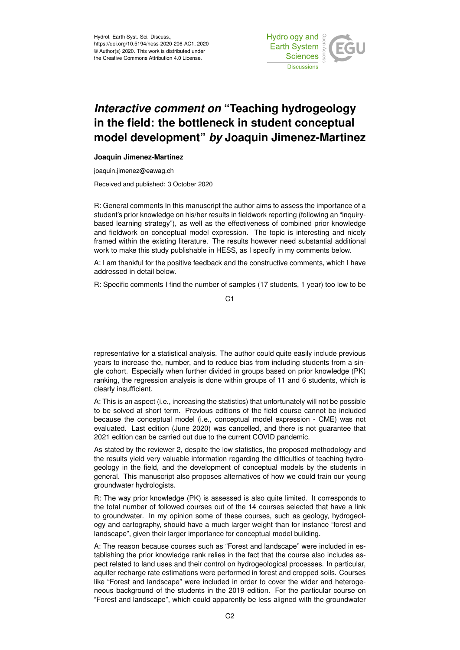

## *Interactive comment on* **"Teaching hydrogeology in the field: the bottleneck in student conceptual model development"** *by* **Joaquin Jimenez-Martinez**

## **Joaquin Jimenez-Martinez**

joaquin.jimenez@eawag.ch

Received and published: 3 October 2020

R: General comments In this manuscript the author aims to assess the importance of a student's prior knowledge on his/her results in fieldwork reporting (following an "inquirybased learning strategy"), as well as the effectiveness of combined prior knowledge and fieldwork on conceptual model expression. The topic is interesting and nicely framed within the existing literature. The results however need substantial additional work to make this study publishable in HESS, as I specify in my comments below.

A: I am thankful for the positive feedback and the constructive comments, which I have addressed in detail below.

R: Specific comments I find the number of samples (17 students, 1 year) too low to be

representative for a statistical analysis. The author could quite easily include previous years to increase the, number, and to reduce bias from including students from a single cohort. Especially when further divided in groups based on prior knowledge (PK) ranking, the regression analysis is done within groups of 11 and 6 students, which is clearly insufficient.

A: This is an aspect (i.e., increasing the statistics) that unfortunately will not be possible to be solved at short term. Previous editions of the field course cannot be included because the conceptual model (i.e., conceptual model expression - CME) was not evaluated. Last edition (June 2020) was cancelled, and there is not guarantee that 2021 edition can be carried out due to the current COVID pandemic.

As stated by the reviewer 2, despite the low statistics, the proposed methodology and the results yield very valuable information regarding the difficulties of teaching hydrogeology in the field, and the development of conceptual models by the students in general. This manuscript also proposes alternatives of how we could train our young groundwater hydrologists.

R: The way prior knowledge (PK) is assessed is also quite limited. It corresponds to the total number of followed courses out of the 14 courses selected that have a link to groundwater. In my opinion some of these courses, such as geology, hydrogeology and cartography, should have a much larger weight than for instance "forest and landscape", given their larger importance for conceptual model building.

A: The reason because courses such as "Forest and landscape" were included in establishing the prior knowledge rank relies in the fact that the course also includes aspect related to land uses and their control on hydrogeological processes. In particular, aquifer recharge rate estimations were performed in forest and cropped soils. Courses like "Forest and landscape" were included in order to cover the wider and heterogeneous background of the students in the 2019 edition. For the particular course on "Forest and landscape", which could apparently be less aligned with the groundwater

C1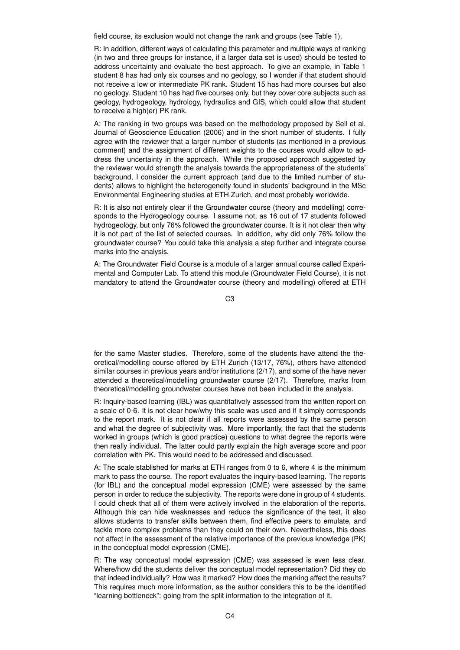field course, its exclusion would not change the rank and groups (see Table 1).

R: In addition, different ways of calculating this parameter and multiple ways of ranking (in two and three groups for instance, if a larger data set is used) should be tested to address uncertainty and evaluate the best approach. To give an example, in Table 1 student 8 has had only six courses and no geology, so I wonder if that student should not receive a low or intermediate PK rank. Student 15 has had more courses but also no geology. Student 10 has had five courses only, but they cover core subjects such as geology, hydrogeology, hydrology, hydraulics and GIS, which could allow that student to receive a high(er) PK rank.

A: The ranking in two groups was based on the methodology proposed by Sell et al. Journal of Geoscience Education (2006) and in the short number of students. I fully agree with the reviewer that a larger number of students (as mentioned in a previous comment) and the assignment of different weights to the courses would allow to address the uncertainty in the approach. While the proposed approach suggested by the reviewer would strength the analysis towards the appropriateness of the students' background, I consider the current approach (and due to the limited number of students) allows to highlight the heterogeneity found in students' background in the MSc Environmental Engineering studies at ETH Zurich, and most probably worldwide.

R: It is also not entirely clear if the Groundwater course (theory and modelling) corresponds to the Hydrogeology course. I assume not, as 16 out of 17 students followed hydrogeology, but only 76% followed the groundwater course. It is it not clear then why it is not part of the list of selected courses. In addition, why did only 76% follow the groundwater course? You could take this analysis a step further and integrate course marks into the analysis.

A: The Groundwater Field Course is a module of a larger annual course called Experimental and Computer Lab. To attend this module (Groundwater Field Course), it is not mandatory to attend the Groundwater course (theory and modelling) offered at ETH

C3

for the same Master studies. Therefore, some of the students have attend the theoretical/modelling course offered by ETH Zurich (13/17, 76%), others have attended similar courses in previous years and/or institutions (2/17), and some of the have never attended a theoretical/modelling groundwater course (2/17). Therefore, marks from theoretical/modelling groundwater courses have not been included in the analysis.

R: Inquiry-based learning (IBL) was quantitatively assessed from the written report on a scale of 0-6. It is not clear how/why this scale was used and if it simply corresponds to the report mark. It is not clear if all reports were assessed by the same person and what the degree of subjectivity was. More importantly, the fact that the students worked in groups (which is good practice) questions to what degree the reports were then really individual. The latter could partly explain the high average score and poor correlation with PK. This would need to be addressed and discussed.

A: The scale stablished for marks at ETH ranges from 0 to 6, where 4 is the minimum mark to pass the course. The report evaluates the inquiry-based learning. The reports (for IBL) and the conceptual model expression (CME) were assessed by the same person in order to reduce the subjectivity. The reports were done in group of 4 students. I could check that all of them were actively involved in the elaboration of the reports. Although this can hide weaknesses and reduce the significance of the test, it also allows students to transfer skills between them, find effective peers to emulate, and tackle more complex problems than they could on their own. Nevertheless, this does not affect in the assessment of the relative importance of the previous knowledge (PK) in the conceptual model expression (CME).

R: The way conceptual model expression (CME) was assessed is even less clear. Where/how did the students deliver the conceptual model representation? Did they do that indeed individually? How was it marked? How does the marking affect the results? This requires much more information, as the author considers this to be the identified "learning bottleneck": going from the split information to the integration of it.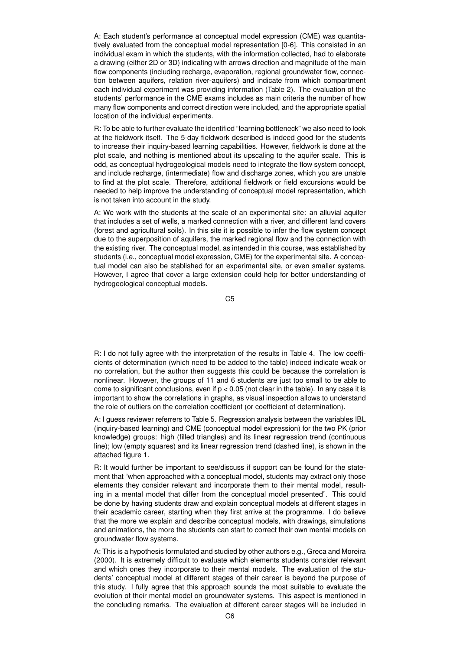A: Each student's performance at conceptual model expression (CME) was quantitatively evaluated from the conceptual model representation [0-6]. This consisted in an individual exam in which the students, with the information collected, had to elaborate a drawing (either 2D or 3D) indicating with arrows direction and magnitude of the main flow components (including recharge, evaporation, regional groundwater flow, connection between aquifers, relation river-aquifers) and indicate from which compartment each individual experiment was providing information (Table 2). The evaluation of the students' performance in the CME exams includes as main criteria the number of how many flow components and correct direction were included, and the appropriate spatial location of the individual experiments.

R: To be able to further evaluate the identified "learning bottleneck" we also need to look at the fieldwork itself. The 5-day fieldwork described is indeed good for the students to increase their inquiry-based learning capabilities. However, fieldwork is done at the plot scale, and nothing is mentioned about its upscaling to the aquifer scale. This is odd, as conceptual hydrogeological models need to integrate the flow system concept, and include recharge, (intermediate) flow and discharge zones, which you are unable to find at the plot scale. Therefore, additional fieldwork or field excursions would be needed to help improve the understanding of conceptual model representation, which is not taken into account in the study.

A: We work with the students at the scale of an experimental site: an alluvial aquifer that includes a set of wells, a marked connection with a river, and different land covers (forest and agricultural soils). In this site it is possible to infer the flow system concept due to the superposition of aquifers, the marked regional flow and the connection with the existing river. The conceptual model, as intended in this course, was established by students (i.e., conceptual model expression, CME) for the experimental site. A conceptual model can also be stablished for an experimental site, or even smaller systems. However, I agree that cover a large extension could help for better understanding of hydrogeological conceptual models.

C5

R: I do not fully agree with the interpretation of the results in Table 4. The low coefficients of determination (which need to be added to the table) indeed indicate weak or no correlation, but the author then suggests this could be because the correlation is nonlinear. However, the groups of 11 and 6 students are just too small to be able to come to significant conclusions, even if  $p < 0.05$  (not clear in the table). In any case it is important to show the correlations in graphs, as visual inspection allows to understand the role of outliers on the correlation coefficient (or coefficient of determination).

A: I guess reviewer referrers to Table 5. Regression analysis between the variables IBL (inquiry-based learning) and CME (conceptual model expression) for the two PK (prior knowledge) groups: high (filled triangles) and its linear regression trend (continuous line); low (empty squares) and its linear regression trend (dashed line), is shown in the attached figure 1.

R: It would further be important to see/discuss if support can be found for the statement that "when approached with a conceptual model, students may extract only those elements they consider relevant and incorporate them to their mental model, resulting in a mental model that differ from the conceptual model presented". This could be done by having students draw and explain conceptual models at different stages in their academic career, starting when they first arrive at the programme. I do believe that the more we explain and describe conceptual models, with drawings, simulations and animations, the more the students can start to correct their own mental models on groundwater flow systems.

A: This is a hypothesis formulated and studied by other authors e.g., Greca and Moreira (2000). It is extremely difficult to evaluate which elements students consider relevant and which ones they incorporate to their mental models. The evaluation of the students' conceptual model at different stages of their career is beyond the purpose of this study. I fully agree that this approach sounds the most suitable to evaluate the evolution of their mental model on groundwater systems. This aspect is mentioned in the concluding remarks. The evaluation at different career stages will be included in